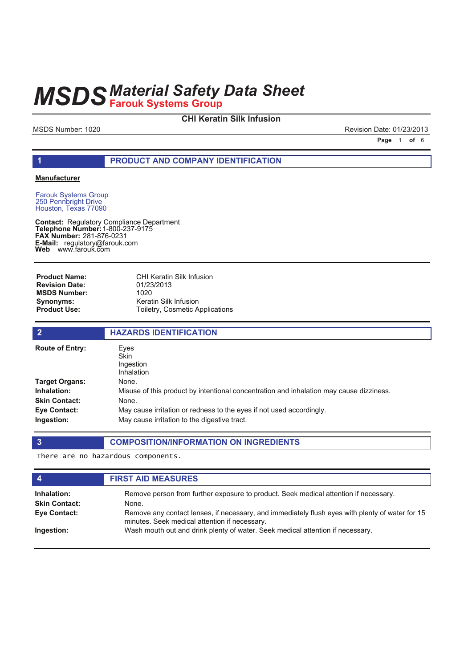# **CHI Keratin Silk Infusion**

MSDS Number: 1020 **Revision Date: 01/23/2013** 

**Page 1 of 6** 

# **1 PRODUCT AND COMPANY IDENTIFICATION**

### **Manufacturer**

Farouk Systems Group 250 Pennbright Drive Houston, Texas 77090

**Contact: Telephone Number: FAX Number:** 281-876-0231 **E-Mail: Web** Regulatory Compliance Department 1-800-237-9175 regulatory@farouk.com www.farouk.com

CHI Keratin Silk Infusion 01/23/2013 1020 Keratin Silk Infusion Toiletry, Cosmetic Applications **Product Name: Revision Date: MSDS Number: Synonyms: Product Use:**

| $\overline{2}$                             | <b>HAZARDS IDENTIFICATION</b>                                                                                        |
|--------------------------------------------|----------------------------------------------------------------------------------------------------------------------|
| <b>Route of Entry:</b>                     | Eyes<br><b>Skin</b><br>Ingestion<br><b>Inhalation</b>                                                                |
| Target Organs:                             | None.                                                                                                                |
| <b>Inhalation:</b><br><b>Skin Contact:</b> | Misuse of this product by intentional concentration and inhalation may cause dizziness.<br>None.                     |
| Eye Contact:<br>Ingestion:                 | May cause irritation or redness to the eyes if not used accordingly.<br>May cause irritation to the digestive tract. |

### **3 COMPOSITION/INFORMATION ON INGREDIENTS**

There are no hazardous components.

| $\boldsymbol{4}$                    | <b>FIRST AID MEASURES</b>                                                                                                                        |
|-------------------------------------|--------------------------------------------------------------------------------------------------------------------------------------------------|
| Inhalation:<br><b>Skin Contact:</b> | Remove person from further exposure to product. Seek medical attention if necessary.<br>None.                                                    |
| Eye Contact:                        | Remove any contact lenses, if necessary, and immediately flush eyes with plenty of water for 15<br>minutes. Seek medical attention if necessary. |
| Ingestion:                          | Wash mouth out and drink plenty of water. Seek medical attention if necessary.                                                                   |
|                                     |                                                                                                                                                  |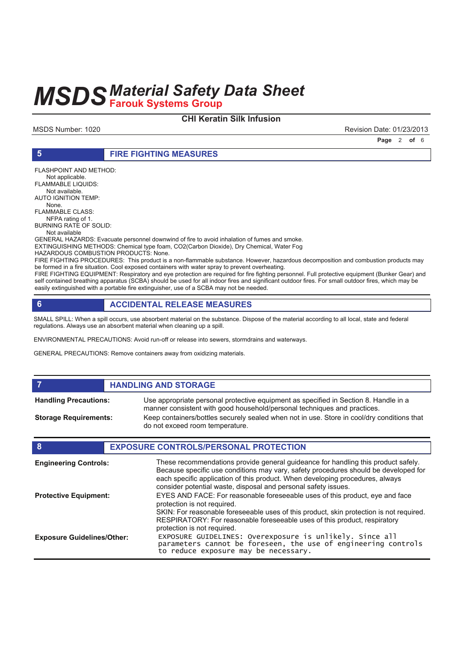# **CHI Keratin Silk Infusion**

MSDS Number: 1020 **Revision Date: 01/23/2013** 

**Page 2 of 6** 

**5 FIRE FIGHTING MEASURES**

FLASHPOINT AND METHOD: Not applicable. FLAMMABLE LIQUIDS: Not available. AUTO IGNITION TEMP: None. FLAMMABLE CLASS: NFPA rating of 1. BURNING RATE OF SOLID: Not available GENERAL HAZARDS: Evacuate personnel downwind of fire to avoid inhalation of fumes and smoke. EXTINGUISHING METHODS: Chemical type foam, CO2(Carbon Dioxide), Dry Chemical, Water Fog HAZARDOUS COMBUSTION PRODUCTS: None. FIRE FIGHTING PROCEDURES: This product is a non-flammable substance. However, hazardous decomposition and combustion products may be formed in a fire situation. Cool exposed containers with water spray to prevent overheating.

FIRE FIGHTING EQUIPMENT: Respiratory and eye protection are required for fire fighting personnel. Full protective equipment (Bunker Gear) and self contained breathing apparatus (SCBA) should be used for all indoor fires and significant outdoor fires. For small outdoor fires, which may be easily extinguished with a portable fire extinguisher, use of a SCBA may not be needed.

# **6 ACCIDENTAL RELEASE MEASURES**

SMALL SPILL: When a spill occurs, use absorbent material on the substance. Dispose of the material according to all local, state and federal regulations. Always use an absorbent material when cleaning up a spill.

ENVIRONMENTAL PRECAUTIONS: Avoid run-off or release into sewers, stormdrains and waterways.

GENERAL PRECAUTIONS: Remove containers away from oxidizing materials.

### **FIGURE 12 IN STORAGE** Use appropriate personal protective equipment as specified in Section 8. Handle in a manner consistent with good household/personal techniques and practices. **Handling Precautions:** Keep containers/bottles securely sealed when not in use. Store in cool/dry conditions that **Storage Requirements:**

do not exceed room temperature.

# **8 EXPOSURE CONTROLS/PERSONAL PROTECTION**

| <b>Engineering Controls:</b>      | These recommendations provide general guideance for handling this product safely.<br>Because specific use conditions may vary, safety procedures should be developed for<br>each specific application of this product. When developing procedures, always<br>consider potential waste, disposal and personal safety issues. |
|-----------------------------------|-----------------------------------------------------------------------------------------------------------------------------------------------------------------------------------------------------------------------------------------------------------------------------------------------------------------------------|
| <b>Protective Equipment:</b>      | EYES AND FACE: For reasonable foreseeable uses of this product, eye and face<br>protection is not required.<br>SKIN: For reasonable foreseeable uses of this product, skin protection is not required.<br>RESPIRATORY: For reasonable foreseeable uses of this product, respiratory<br>protection is not required.          |
| <b>Exposure Guidelines/Other:</b> | EXPOSURE GUIDELINES: Overexposure is unlikely. Since all<br>parameters cannot be foreseen, the use of engineering controls<br>to reduce exposure may be necessary.                                                                                                                                                          |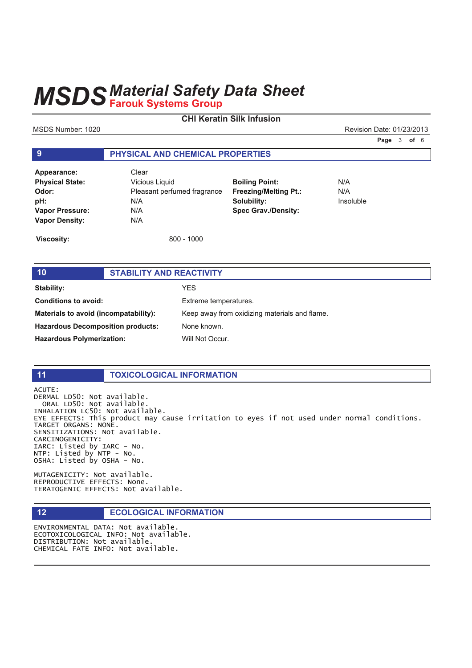# **CHI Keratin Silk Infusion**

MSDS Number: 1020 **Revision Date: 01/23/2013** Revision Date: 01/23/2013

**Page 3 of 6** 

# **9 PHYSICAL AND CHEMICAL PROPERTIES**

| Appearance:            | Clear                       |                              |           |
|------------------------|-----------------------------|------------------------------|-----------|
| <b>Physical State:</b> | Vicious Liquid              | <b>Boiling Point:</b>        | N/A       |
| Odor:                  | Pleasant perfumed fragrance | <b>Freezing/Melting Pt.:</b> | N/A       |
| pH:                    | N/A                         | Solubility:                  | Insoluble |
| <b>Vapor Pressure:</b> | N/A                         | <b>Spec Grav./Density:</b>   |           |
| <b>Vapor Density:</b>  | N/A                         |                              |           |

**Viscosity:** 800 - 1000

# **10 STABILITY AND REACTIVITY Stability:** YES **Conditions to avoid:** Extreme temperatures. **Materials to avoid (incompatability):** Keep away from oxidizing materials and flame. **Hazardous Decomposition products:** None known. Hazardous Polymerization: Will Not Occur.

# **11 TOXICOLOGICAL INFORMATION**

ACUTE: DERMAL LD50: Not available. ORAL LD50: Not available. INHALATION LC50: Not available. EYE EFFECTS: This product may cause irritation to eyes if not used under normal conditions. TARGET ORGANS: NONE. SENSITIZATIONS: Not available. CARCINOGENICITY: IARC: Listed by IARC - No.  $NTP:$  Listed by  $NTP - NO$ . OSHA: Listed by OSHA - No.

MUTAGENICITY: Not available. REPRODUCTIVE EFFECTS: None. TERATOGENIC EFFECTS: Not available.

# **12 ECOLOGICAL INFORMATION**

ENVIRONMENTAL DATA: Not available. ECOTOXICOLOGICAL INFO: Not available. DISTRIBUTION: Not available. CHEMICAL FATE INFO: Not available.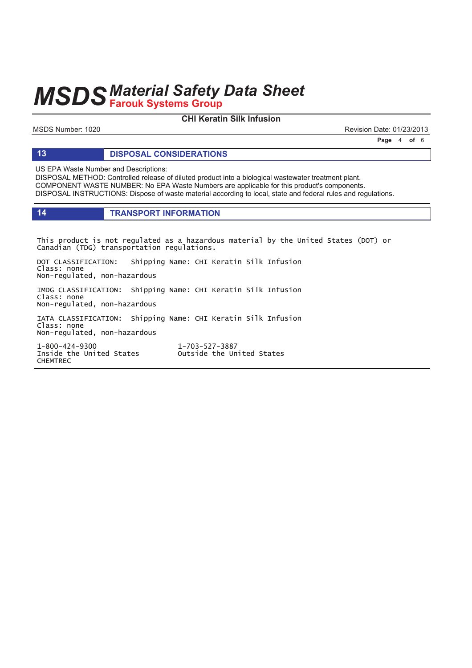# **CHI Keratin Silk Infusion**

MSDS Number: 1020 **Revision Date: 01/23/2013** 

**Page 4 of 6** 

## **13 DISPOSAL CONSIDERATIONS**

US EPA Waste Number and Descriptions:

DISPOSAL METHOD: Controlled release of diluted product into a biological wastewater treatment plant. COMPONENT WASTE NUMBER: No EPA Waste Numbers are applicable for this product's components. DISPOSAL INSTRUCTIONS: Dispose of waste material according to local, state and federal rules and regulations.

# **14 TRANSPORT INFORMATION**

This product is not regulated as a hazardous material by the United States (DOT) or Canadian (TDG) transportation regulations.

DOT CLASSIFICATION: Shipping Name: CHI Keratin Silk Infusion Class: none Non-regulated, non-hazardous

IMDG CLASSIFICATION: Shipping Name: CHI Keratin Silk Infusion Class: none Non-regulated, non-hazardous

IATA CLASSIFICATION: Shipping Name: CHI Keratin Silk Infusion Class: none Non-regulated, non-hazardous

 $1 - 800 - 424 - 9300$  1 **CHEMTREC** 

1-703-527-3887 Inside the United States outside the United States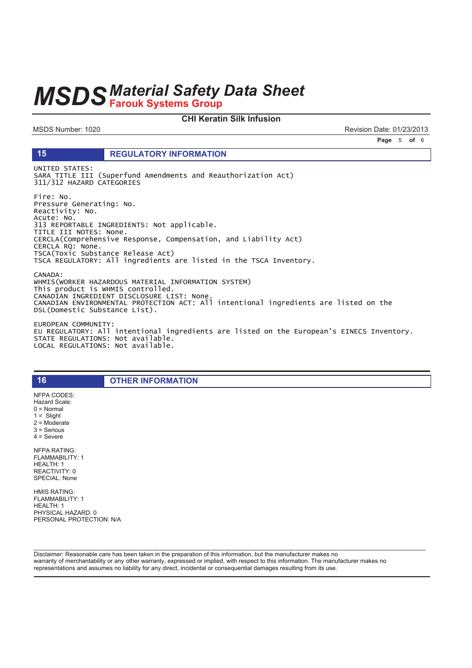### **CHI Keratin Silk Infusion**

MSDS Number: 1020

15

Revision Date: 01/23/2013

Page 5 of 6

### **REGULATORY INFORMATION**

UNITED STATES: SARA TITLE III (Superfund Amendments and Reauthorization Act) 311/312 HAZARD CATEGORIES

Fire: No. Pressure Generating: No. Reactivity: No. Acute: No.<br>313 REPORTABLE INGREDIENTS: Not applicable. TITLE III NOTES: None. CERCLA(Comprehensive Response, Compensation, and Liability Act) CERCLA RQ: None. TSCA(Toxic Substance Release Act) TSCA REGULATORY: All ingredients are listed in the TSCA Inventory. CANADA: WHMIS(WORKER HAZARDOUS MATERIAL INFORMATION SYSTEM) This product is WHMIS controlled. CANADIAN INGREDIENT DISCLOSURE LIST: None.

CANADIAN ENVIRONMENTAL PROTECTION ACT: All intentional ingredients are listed on the<br>DSL(Domestic Substance List).

EUROPEAN COMMUNITY: EU REGULATORY: All intentional ingredients are listed on the European's EINECS Inventory. STATE REGULATIONS: Not available.<br>LOCAL REGULATIONS: Not available.

**OTHER INFORMATION** 

Hazard Scale:  $0 = \text{Normal}$  $1 =$  Slight  $2 =$  Moderate  $3 =$  Serious  $4 =$  Severe **NFPA RATING:** FLAMMABILITY: 1 HEALTH: 1 REACTIVITY: 0 SPECIAL: None

NFPA CODES:

16

**HMIS RATING:** FLAMMABILITY: 1 HEALTH: 1 PHYSICAL HAZARD: 0 PERSONAL PROTECTION: N/A

Disclaimer: Reasonable care has been taken in the preparation of this information, but the manufacturer makes no warranty of merchantability or any other warranty, expressed or implied, with respect to this information. The manufacturer makes no representations and assumes no liability for any direct, incidental or consequential damages resulting from its use.